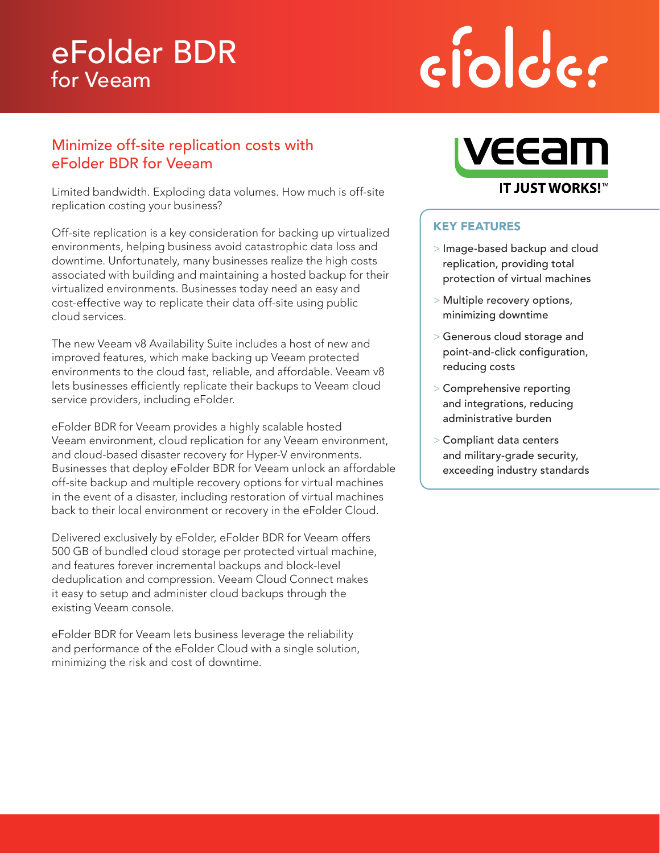# eFolder BDR for Veeam

# ciolder

## Minimize off-site replication costs with eFolder BDR for Veeam

Limited bandwidth. Exploding data volumes. How much is off-site replication costing your business?

Off-site replication is a key consideration for backing up virtualized environments, helping business avoid catastrophic data loss and downtime. Unfortunately, many businesses realize the high costs associated with building and maintaining a hosted backup for their virtualized environments. Businesses today need an easy and cost-effective way to replicate their data off-site using public cloud services.

The new Veeam v8 Availability Suite includes a host of new and improved features, which make backing up Veeam protected environments to the cloud fast, reliable, and affordable. Veeam v8 lets businesses efficiently replicate their backups to Veeam cloud service providers, including eFolder.

eFolder BDR for Veeam provides a highly scalable hosted Veeam environment, cloud replication for any Veeam environment, and cloud-based disaster recovery for Hyper-V environments. Businesses that deploy eFolder BDR for Veeam unlock an affordable off-site backup and multiple recovery options for virtual machines in the event of a disaster, including restoration of virtual machines back to their local environment or recovery in the eFolder Cloud.

Delivered exclusively by eFolder, eFolder BDR for Veeam offers 500 GB of bundled cloud storage per protected virtual machine, and features forever incremental backups and block-level deduplication and compression. Veeam Cloud Connect makes it easy to setup and administer cloud backups through the existing Veeam console.

eFolder BDR for Veeam lets business leverage the reliability and performance of the eFolder Cloud with a single solution, minimizing the risk and cost of downtime.



### KEY FEATURES

- > Image-based backup and cloud replication, providing total protection of virtual machines
- > Multiple recovery options, minimizing downtime
- > Generous cloud storage and point-and-click configuration, reducing costs
- > Comprehensive reporting and integrations, reducing administrative burden
- > Compliant data centers and military-grade security, exceeding industry standards